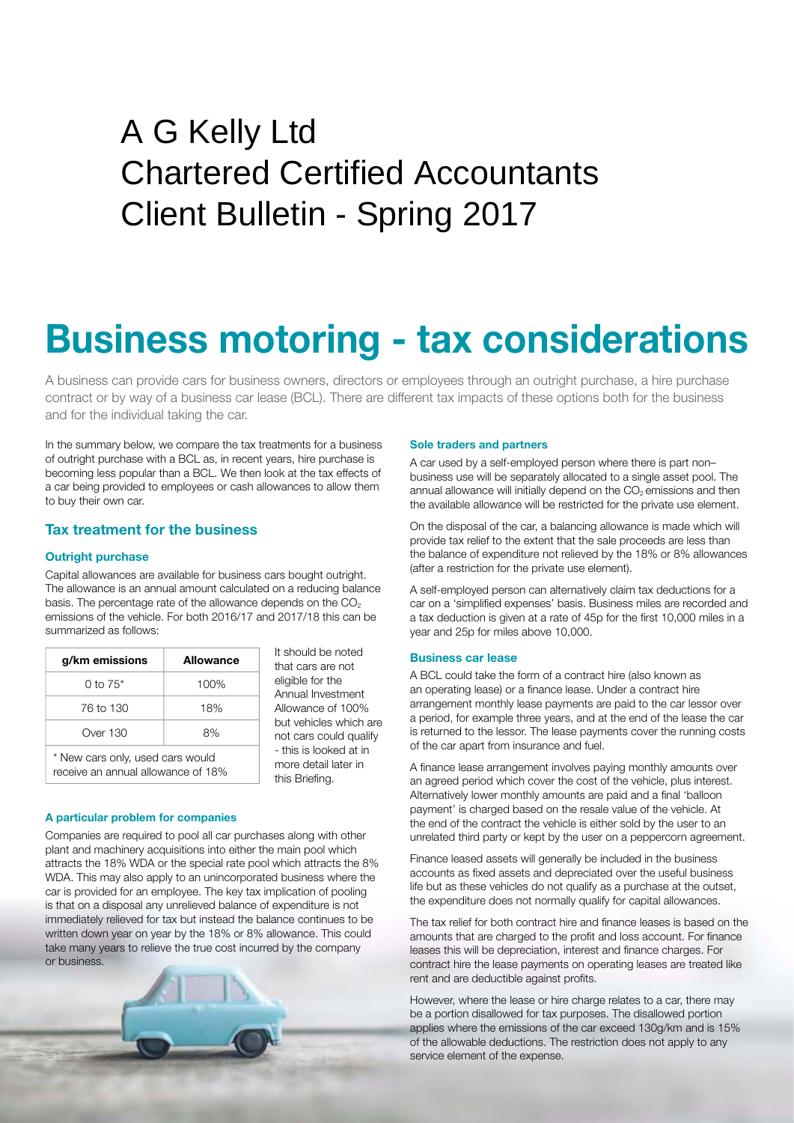## Peat House Newham Road Truro Cornwall TR1 2DP A G Kelly Ltd Chartered Certified Accountants Client Bulletin - Spring 2017

# **Business motoring - tax considerations**

 A business can provide cars for business owners, directors or employees through an outright purchase, a hire purchase contract or by way of a business car lease (BCL). There are different tax impacts of these options both for the business and for the individual taking the car.

In the summary below, we compare the tax treatments for a business of outright purchase with a BCL as, in recent years, hire purchase is becoming less popular than a BCL. We then look at the tax effects of a car being provided to employees or cash allowances to allow them to buy their own car.

#### **Tax treatment for the business**

#### **Outright purchase**

Capital allowances are available for business cars bought outright. The allowance is an annual amount calculated on a reducing balance basis. The percentage rate of the allowance depends on the  $CO<sub>2</sub>$ emissions of the vehicle. For both 2016/17 and 2017/18 this can be summarized as follows:

| g/km emissions                                                          | <b>Allowance</b> |
|-------------------------------------------------------------------------|------------------|
| $0$ to $75^*$                                                           | 100%             |
| 76 to 130                                                               | 18%              |
| Over 130                                                                | 8%               |
| * New cars only, used cars would<br>rocoive an annual allowance of 180/ |                  |

 It should be noted that cars are not eligible for the Annual Investment Allowance of 100% but vehicles which are not cars could qualify - this is looked at in more detail later in this Briefing.

### receive an annual allowance of 18%

#### **A particular problem for companies**

Companies are required to pool all car purchases along with other plant and machinery acquisitions into either the main pool which attracts the 18% WDA or the special rate pool which attracts the 8% WDA. This may also apply to an unincorporated business where the car is provided for an employee. The key tax implication of pooling is that on a disposal any unrelieved balance of expenditure is not immediately relieved for tax but instead the balance continues to be written down year on year by the 18% or 8% allowance. This could take many years to relieve the true cost incurred by the company or business.



#### **Sole traders and partners**

 A car used by a self-employed person where there is part non– business use will be separately allocated to a single asset pool. The annual allowance will initially depend on the  $CO<sub>2</sub>$  emissions and then the available allowance will be restricted for the private use element.

On the disposal of the car, a balancing allowance is made which will provide tax relief to the extent that the sale proceeds are less than the balance of expenditure not relieved by the 18% or 8% allowances (after a restriction for the private use element).

A self-employed person can alternatively claim tax deductions for a car on a 'simplified expenses' basis. Business miles are recorded and a tax deduction is given at a rate of 45p for the first 10,000 miles in a year and 25p for miles above 10,000.

#### **Business car lease**

A BCL could take the form of a contract hire (also known as an operating lease) or a finance lease. Under a contract hire arrangement monthly lease payments are paid to the car lessor over a period, for example three years, and at the end of the lease the car is returned to the lessor. The lease payments cover the running costs of the car apart from insurance and fuel.

A finance lease arrangement involves paying monthly amounts over an agreed period which cover the cost of the vehicle, plus interest. Alternatively lower monthly amounts are paid and a final 'balloon payment' is charged based on the resale value of the vehicle. At the end of the contract the vehicle is either sold by the user to an unrelated third party or kept by the user on a peppercorn agreement.

 Finance leased assets will generally be included in the business accounts as fixed assets and depreciated over the useful business life but as these vehicles do not qualify as a purchase at the outset, the expenditure does not normally qualify for capital allowances.

The tax relief for both contract hire and finance leases is based on the amounts that are charged to the profit and loss account. For finance leases this will be depreciation, interest and finance charges. For contract hire the lease payments on operating leases are treated like rent and are deductible against profits.

 However, where the lease or hire charge relates to a car, there may be a portion disallowed for tax purposes. The disallowed portion applies where the emissions of the car exceed 130g/km and is 15% of the allowable deductions. The restriction does not apply to any service element of the expense.